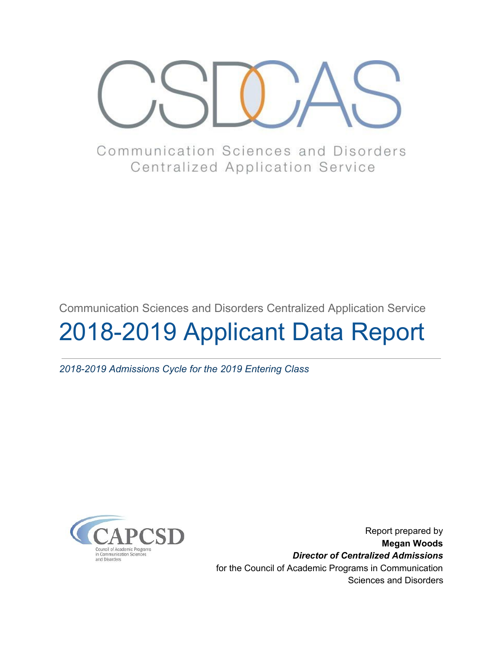

Communication Sciences and Disorders **Centralized Application Service** 

Communication Sciences and Disorders Centralized Application Service

# 2018-2019 Applicant Data Report

*2018-2019 Admissions Cycle for the 2019 Entering Class*



Report prepared by **Megan Woods** *Director of Centralized Admissions* for the Council of Academic Programs in Communication Sciences and Disorders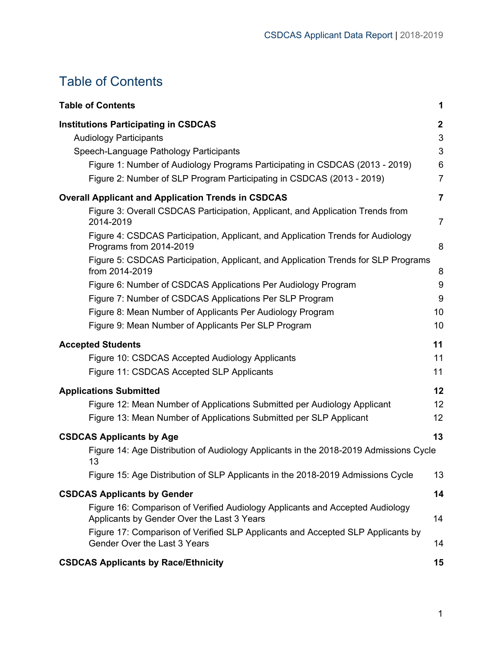# <span id="page-1-0"></span>Table of Contents

| <b>Table of Contents</b>                                                                                                    | 1              |
|-----------------------------------------------------------------------------------------------------------------------------|----------------|
| <b>Institutions Participating in CSDCAS</b>                                                                                 | $\mathbf{2}$   |
| <b>Audiology Participants</b>                                                                                               | 3              |
| Speech-Language Pathology Participants                                                                                      | 3              |
| Figure 1: Number of Audiology Programs Participating in CSDCAS (2013 - 2019)                                                | 6              |
| Figure 2: Number of SLP Program Participating in CSDCAS (2013 - 2019)                                                       | $\overline{7}$ |
| <b>Overall Applicant and Application Trends in CSDCAS</b>                                                                   | $\overline{7}$ |
| Figure 3: Overall CSDCAS Participation, Applicant, and Application Trends from<br>2014-2019                                 | $\overline{7}$ |
| Figure 4: CSDCAS Participation, Applicant, and Application Trends for Audiology<br>Programs from 2014-2019                  | 8              |
| Figure 5: CSDCAS Participation, Applicant, and Application Trends for SLP Programs<br>from 2014-2019                        | 8              |
| Figure 6: Number of CSDCAS Applications Per Audiology Program                                                               | 9              |
| Figure 7: Number of CSDCAS Applications Per SLP Program                                                                     | 9              |
| Figure 8: Mean Number of Applicants Per Audiology Program                                                                   | 10             |
| Figure 9: Mean Number of Applicants Per SLP Program                                                                         | 10             |
| <b>Accepted Students</b>                                                                                                    | 11             |
| Figure 10: CSDCAS Accepted Audiology Applicants                                                                             | 11             |
| Figure 11: CSDCAS Accepted SLP Applicants                                                                                   | 11             |
| <b>Applications Submitted</b>                                                                                               | 12             |
| Figure 12: Mean Number of Applications Submitted per Audiology Applicant                                                    | 12             |
| Figure 13: Mean Number of Applications Submitted per SLP Applicant                                                          | 12             |
| <b>CSDCAS Applicants by Age</b>                                                                                             | 13             |
| Figure 14: Age Distribution of Audiology Applicants in the 2018-2019 Admissions Cycle<br>13                                 |                |
| Figure 15: Age Distribution of SLP Applicants in the 2018-2019 Admissions Cycle                                             | 13             |
| <b>CSDCAS Applicants by Gender</b>                                                                                          | 14             |
| Figure 16: Comparison of Verified Audiology Applicants and Accepted Audiology<br>Applicants by Gender Over the Last 3 Years | 14             |
| Figure 17: Comparison of Verified SLP Applicants and Accepted SLP Applicants by<br>Gender Over the Last 3 Years             | 14             |
| <b>CSDCAS Applicants by Race/Ethnicity</b>                                                                                  | 15             |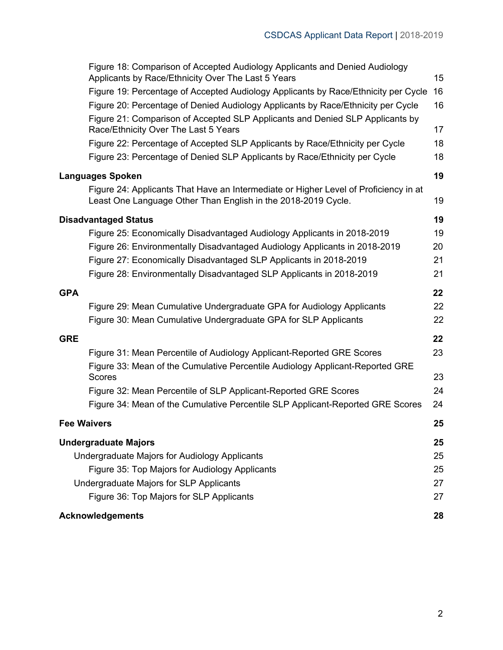|                    | Figure 18: Comparison of Accepted Audiology Applicants and Denied Audiology<br>Applicants by Race/Ethnicity Over The Last 5 Years                     | 15 |
|--------------------|-------------------------------------------------------------------------------------------------------------------------------------------------------|----|
|                    | Figure 19: Percentage of Accepted Audiology Applicants by Race/Ethnicity per Cycle                                                                    | 16 |
|                    | Figure 20: Percentage of Denied Audiology Applicants by Race/Ethnicity per Cycle                                                                      | 16 |
|                    | Figure 21: Comparison of Accepted SLP Applicants and Denied SLP Applicants by<br>Race/Ethnicity Over The Last 5 Years                                 | 17 |
|                    | Figure 22: Percentage of Accepted SLP Applicants by Race/Ethnicity per Cycle                                                                          | 18 |
|                    | Figure 23: Percentage of Denied SLP Applicants by Race/Ethnicity per Cycle                                                                            | 18 |
|                    | <b>Languages Spoken</b>                                                                                                                               | 19 |
|                    | Figure 24: Applicants That Have an Intermediate or Higher Level of Proficiency in at<br>Least One Language Other Than English in the 2018-2019 Cycle. | 19 |
|                    | <b>Disadvantaged Status</b>                                                                                                                           | 19 |
|                    | Figure 25: Economically Disadvantaged Audiology Applicants in 2018-2019                                                                               | 19 |
|                    | Figure 26: Environmentally Disadvantaged Audiology Applicants in 2018-2019                                                                            | 20 |
|                    | Figure 27: Economically Disadvantaged SLP Applicants in 2018-2019                                                                                     | 21 |
|                    | Figure 28: Environmentally Disadvantaged SLP Applicants in 2018-2019                                                                                  | 21 |
| <b>GPA</b>         |                                                                                                                                                       | 22 |
|                    | Figure 29: Mean Cumulative Undergraduate GPA for Audiology Applicants                                                                                 | 22 |
|                    | Figure 30: Mean Cumulative Undergraduate GPA for SLP Applicants                                                                                       | 22 |
| <b>GRE</b>         |                                                                                                                                                       | 22 |
|                    | Figure 31: Mean Percentile of Audiology Applicant-Reported GRE Scores                                                                                 | 23 |
|                    | Figure 33: Mean of the Cumulative Percentile Audiology Applicant-Reported GRE                                                                         |    |
|                    | Scores                                                                                                                                                | 23 |
|                    | Figure 32: Mean Percentile of SLP Applicant-Reported GRE Scores                                                                                       | 24 |
|                    | Figure 34: Mean of the Cumulative Percentile SLP Applicant-Reported GRE Scores                                                                        | 24 |
| <b>Fee Waivers</b> |                                                                                                                                                       | 25 |
|                    | <b>Undergraduate Majors</b>                                                                                                                           | 25 |
|                    | Undergraduate Majors for Audiology Applicants                                                                                                         | 25 |
|                    | Figure 35: Top Majors for Audiology Applicants                                                                                                        | 25 |
|                    | Undergraduate Majors for SLP Applicants                                                                                                               | 27 |
|                    | Figure 36: Top Majors for SLP Applicants                                                                                                              | 27 |
|                    | <b>Acknowledgements</b>                                                                                                                               | 28 |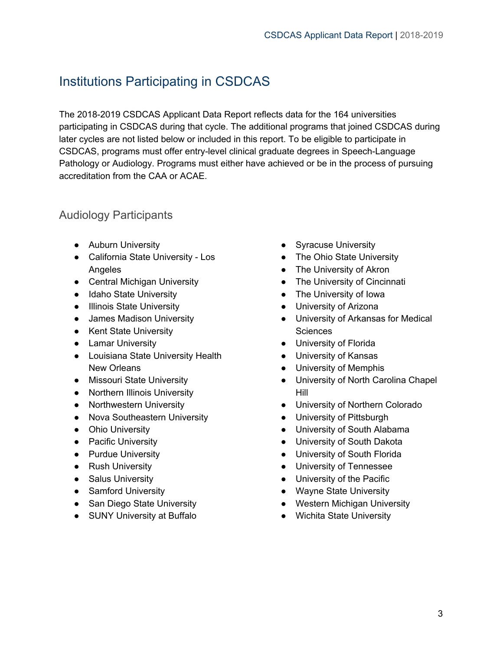# <span id="page-3-0"></span>Institutions Participating in CSDCAS

The 2018-2019 CSDCAS Applicant Data Report reflects data for the 164 universities participating in CSDCAS during that cycle. The additional programs that joined CSDCAS during later cycles are not listed below or included in this report. To be eligible to participate in CSDCAS, programs must offer entry-level clinical graduate degrees in Speech-Language Pathology or Audiology. Programs must either have achieved or be in the process of pursuing accreditation from the CAA or ACAE.

#### <span id="page-3-1"></span>Audiology Participants

- Auburn University
- California State University Los Angeles
- Central Michigan University
- Idaho State University
- Illinois State University
- James Madison University
- Kent State University
- Lamar University
- Louisiana State University Health New Orleans
- Missouri State University
- Northern Illinois University
- Northwestern University
- Nova Southeastern University
- Ohio University
- Pacific University
- Purdue University
- Rush University
- Salus University
- Samford University
- San Diego State University
- SUNY University at Buffalo
- Syracuse University
- The Ohio State University
- The University of Akron
- The University of Cincinnati
- The University of Iowa
- University of Arizona
- University of Arkansas for Medical Sciences
- University of Florida
- University of Kansas
- University of Memphis
- University of North Carolina Chapel Hill
- University of Northern Colorado
- University of Pittsburgh
- University of South Alabama
- University of South Dakota
- University of South Florida
- University of Tennessee
- University of the Pacific
- Wayne State University
- Western Michigan University
- Wichita State University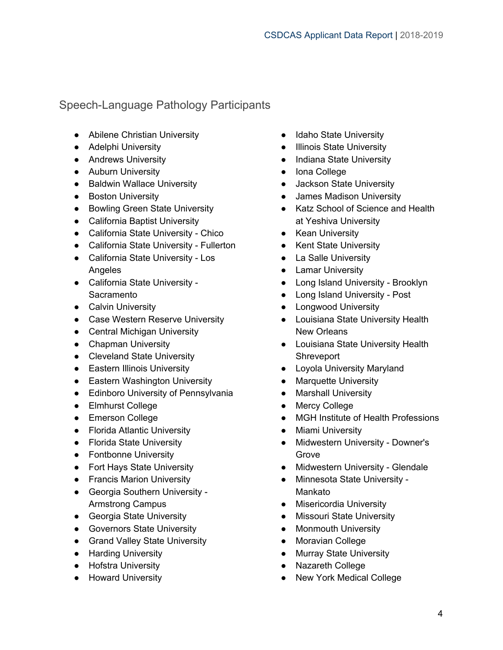#### <span id="page-4-0"></span>Speech-Language Pathology Participants

- Abilene Christian University
- Adelphi University
- Andrews University
- Auburn University
- Baldwin Wallace University
- Boston University
- Bowling Green State University
- California Baptist University
- California State University Chico
- California State University Fullerton
- California State University Los Angeles
- California State University **Sacramento**
- Calvin University
- Case Western Reserve University
- Central Michigan University
- Chapman University
- Cleveland State University
- Eastern Illinois University
- Eastern Washington University
- Edinboro University of Pennsylvania
- Elmhurst College
- Emerson College
- Florida Atlantic University
- Florida State University
- Fontbonne University
- Fort Hays State University
- Francis Marion University
- Georgia Southern University Armstrong Campus
- Georgia State University
- Governors State University
- Grand Valley State University
- Harding University
- Hofstra University
- Howard University
- Idaho State University
- Illinois State University
- Indiana State University
- Iona College
- Jackson State University
- James Madison University
- Katz School of Science and Health at Yeshiva University
- Kean University
- Kent State University
- La Salle University
- Lamar University
- Long Island University Brooklyn
- Long Island University Post
- Longwood University
- Louisiana State University Health New Orleans
- Louisiana State University Health Shreveport
- Loyola University Maryland
- Marquette University
- Marshall University
- Mercy College
- MGH Institute of Health Professions
- Miami University
- Midwestern University Downer's Grove
- Midwestern University Glendale
- Minnesota State University Mankato
- Misericordia University
- Missouri State University
- Monmouth University
- Moravian College
- Murray State University
- Nazareth College
- **New York Medical College**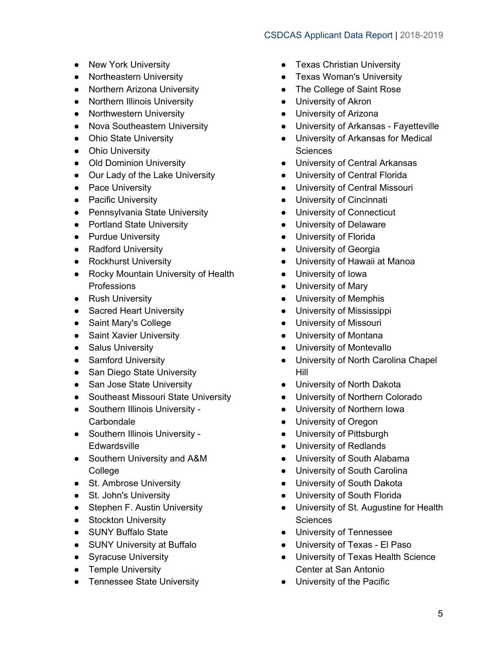- New York University
- Northeastern University
- Northern Arizona University
- Northern Illinois University
- Northwestern University
- Nova Southeastern University
- Ohio State University
- Ohio University
- Old Dominion University
- Our Lady of the Lake University
- Pace University
- Pacific University
- Pennsylvania State University
- Portland State University
- Purdue University
- Radford University
- Rockhurst University
- Rocky Mountain University of Health Professions
- Rush University
- Sacred Heart University
- Saint Mary's College
- Saint Xavier University
- Salus University
- Samford University
- San Diego State University
- San Jose State University
- Southeast Missouri State University
- Southern Illinois University **Carbondale**
- Southern Illinois University **Edwardsville**
- Southern University and A&M College
- St. Ambrose University
- St. John's University
- Stephen F. Austin University
- Stockton University
- SUNY Buffalo State
- SUNY University at Buffalo
- Syracuse University
- Temple University
- Tennessee State University
- Texas Christian University
- Texas Woman's University
- The College of Saint Rose
- University of Akron
- University of Arizona
- University of Arkansas Fayetteville
- University of Arkansas for Medical **Sciences**
- University of Central Arkansas
- **University of Central Florida**
- University of Central Missouri
- University of Cincinnati
- University of Connecticut
- University of Delaware
- University of Florida
- University of Georgia
- University of Hawaii at Manoa
- University of Iowa
- University of Mary
- University of Memphis
- University of Mississippi
- University of Missouri
- University of Montana
- University of Montevallo
- University of North Carolina Chapel Hill
- University of North Dakota
- University of Northern Colorado
- University of Northern Iowa
- University of Oregon
- University of Pittsburgh
- University of Redlands
- University of South Alabama
- University of South Carolina
- University of South Dakota
- University of South Florida
- University of St. Augustine for Health **Sciences**
- University of Tennessee
- University of Texas El Paso
- University of Texas Health Science Center at San Antonio
- University of the Pacific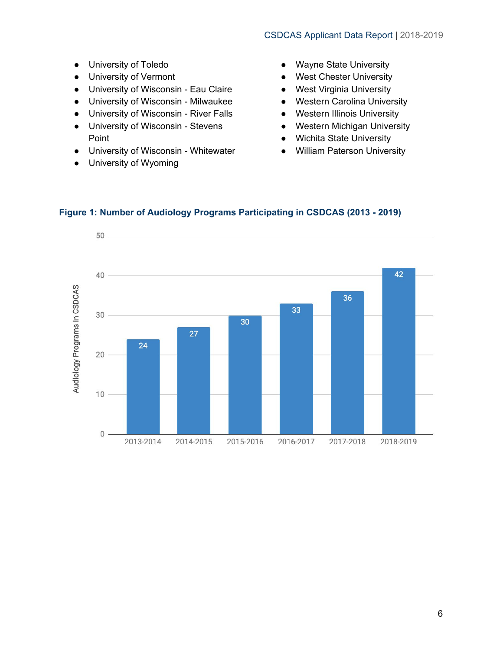- University of Toledo
- University of Vermont
- University of Wisconsin Eau Claire
- University of Wisconsin Milwaukee
- University of Wisconsin River Falls
- University of Wisconsin Stevens Point
- University of Wisconsin Whitewater
- University of Wyoming
- Wayne State University
- West Chester University
- West Virginia University
- Western Carolina University
- Western Illinois University
- Western Michigan University
- Wichita State University
- William Paterson University



#### <span id="page-6-0"></span>**Figure 1: Number of Audiology Programs Participating in CSDCAS (2013 - 2019)**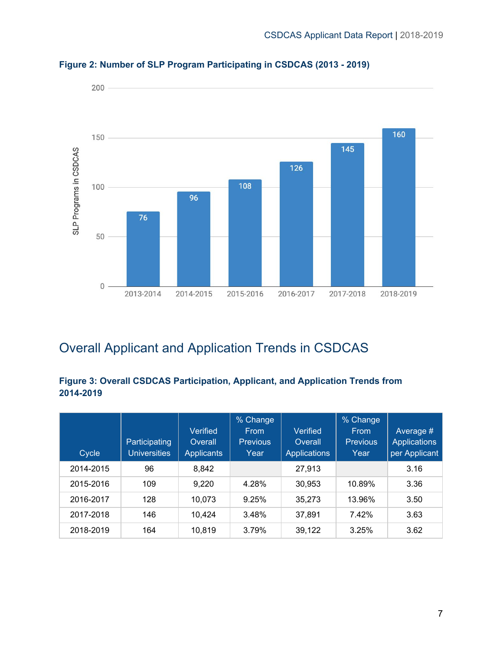

<span id="page-7-0"></span>**Figure 2: Number of SLP Program Participating in CSDCAS (2013 - 2019)**

# <span id="page-7-1"></span>Overall Applicant and Application Trends in CSDCAS

#### <span id="page-7-2"></span>**Figure 3: Overall CSDCAS Participation, Applicant, and Application Trends from 2014-2019**

| Cycle     | Participating<br><b>Universities</b> | Verified<br>Overall<br><b>Applicants</b> | % Change<br><b>From</b><br><b>Previous</b><br>Year | Verified<br>Overall<br><b>Applications</b> | % Change<br><b>From</b><br><b>Previous</b><br>Year | Average #<br>Applications<br>per Applicant |
|-----------|--------------------------------------|------------------------------------------|----------------------------------------------------|--------------------------------------------|----------------------------------------------------|--------------------------------------------|
| 2014-2015 | 96                                   | 8,842                                    |                                                    | 27,913                                     |                                                    | 3.16                                       |
| 2015-2016 | 109                                  | 9,220                                    | 4.28%                                              | 30,953                                     | 10.89%                                             | 3.36                                       |
| 2016-2017 | 128                                  | 10,073                                   | 9.25%                                              | 35,273                                     | 13.96%                                             | 3.50                                       |
| 2017-2018 | 146                                  | 10,424                                   | 3.48%                                              | 37,891                                     | 7.42%                                              | 3.63                                       |
| 2018-2019 | 164                                  | 10,819                                   | 3.79%                                              | 39,122                                     | 3.25%                                              | 3.62                                       |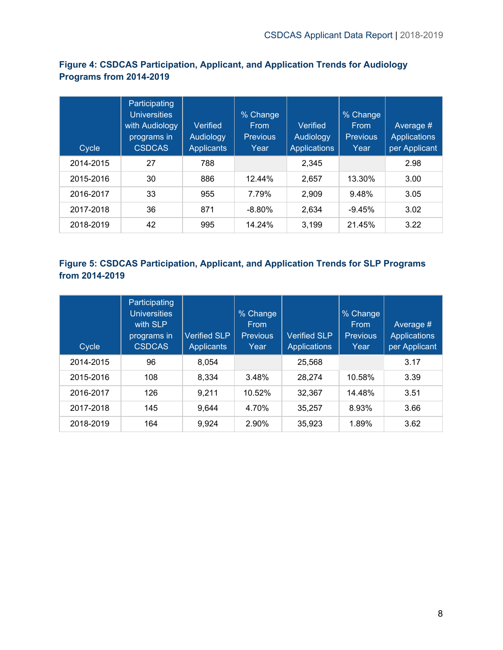<span id="page-8-0"></span>**Figure 4: CSDCAS Participation, Applicant, and Application Trends for Audiology Programs from 2014-2019**

| Cycle     | Participating<br><b>Universities</b><br>with Audiology<br>programs in<br><b>CSDCAS</b> | Verified<br>Audiology<br><b>Applicants</b> | % Change<br><b>From</b><br><b>Previous</b><br>Year | Verified<br>Audiology<br><b>Applications</b> | % Change<br><b>From</b><br><b>Previous</b><br>Year | Average #<br><b>Applications</b><br>per Applicant |
|-----------|----------------------------------------------------------------------------------------|--------------------------------------------|----------------------------------------------------|----------------------------------------------|----------------------------------------------------|---------------------------------------------------|
| 2014-2015 | 27                                                                                     | 788                                        |                                                    | 2.345                                        |                                                    | 2.98                                              |
| 2015-2016 | 30                                                                                     | 886                                        | 12.44%                                             | 2,657                                        | 13.30%                                             | 3.00                                              |
| 2016-2017 | 33                                                                                     | 955                                        | 7.79%                                              | 2.909                                        | 9.48%                                              | 3.05                                              |
| 2017-2018 | 36                                                                                     | 871                                        | $-8.80%$                                           | 2.634                                        | $-9.45%$                                           | 3.02                                              |
| 2018-2019 | 42                                                                                     | 995                                        | 14.24%                                             | 3.199                                        | 21.45%                                             | 3.22                                              |

#### <span id="page-8-1"></span>**Figure 5: CSDCAS Participation, Applicant, and Application Trends for SLP Programs from 2014-2019**

| Cycle     | Participating<br><b>Universities</b><br>with SLP<br>programs in<br><b>CSDCAS</b> | <b>Verified SLP</b><br><b>Applicants</b> | % Change<br><b>Erom</b><br><b>Previous</b><br>Year | <b>Verified SLP</b><br><b>Applications</b> | % Change<br><b>From</b><br><b>Previous</b><br>Year | Average #<br><b>Applications</b><br>per Applicant |
|-----------|----------------------------------------------------------------------------------|------------------------------------------|----------------------------------------------------|--------------------------------------------|----------------------------------------------------|---------------------------------------------------|
| 2014-2015 | 96                                                                               | 8.054                                    |                                                    | 25.568                                     |                                                    | 3.17                                              |
| 2015-2016 | 108                                                                              | 8,334                                    | 3.48%                                              | 28,274                                     | 10.58%                                             | 3.39                                              |
| 2016-2017 | 126                                                                              | 9,211                                    | 10.52%                                             | 32,367                                     | 14.48%                                             | 3.51                                              |
| 2017-2018 | 145                                                                              | 9.644                                    | 4.70%                                              | 35.257                                     | 8.93%                                              | 3.66                                              |
| 2018-2019 | 164                                                                              | 9.924                                    | 2.90%                                              | 35,923                                     | 1.89%                                              | 3.62                                              |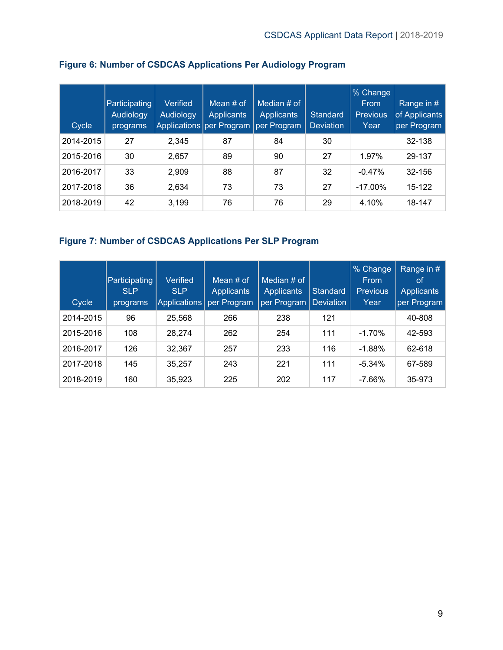| Cycle     | Participating<br>Audiology<br>programs <sup>'</sup> | Verified<br>Audiology | Mean $#$ of<br><b>Applicants</b><br>Applications   per Program | Median # of<br><b>Applicants</b><br>per Program | Standard<br><b>Deviation</b> | % Change<br>From<br><b>Previous</b><br>Year | Range in #<br>of Applicants<br>per Program |
|-----------|-----------------------------------------------------|-----------------------|----------------------------------------------------------------|-------------------------------------------------|------------------------------|---------------------------------------------|--------------------------------------------|
| 2014-2015 | 27                                                  | 2,345                 | 87                                                             | 84                                              | 30                           |                                             | 32-138                                     |
| 2015-2016 | 30                                                  | 2,657                 | 89                                                             | 90                                              | 27                           | 1.97%                                       | 29-137                                     |
| 2016-2017 | 33                                                  | 2,909                 | 88                                                             | 87                                              | 32                           | $-0.47%$                                    | 32-156                                     |
| 2017-2018 | 36                                                  | 2,634                 | 73                                                             | 73                                              | 27                           | $-17.00\%$                                  | 15-122                                     |
| 2018-2019 | 42                                                  | 3,199                 | 76                                                             | 76                                              | 29                           | 4.10%                                       | 18-147                                     |

#### <span id="page-9-0"></span>**Figure 6: Number of CSDCAS Applications Per Audiology Program**

#### <span id="page-9-1"></span>**Figure 7: Number of CSDCAS Applications Per SLP Program**

| Cycle     | Participating<br><b>SLP</b><br>programs | Verified<br><b>SLP</b><br>Applications | Mean $#$ of<br><b>Applicants</b><br>per Program | Median # of<br><b>Applicants</b><br>per Program | <b>Standard</b><br><b>Deviation</b> | % Change<br>From<br><b>Previous</b><br>Year | Range in #<br>οf<br><b>Applicants</b><br>per Program |
|-----------|-----------------------------------------|----------------------------------------|-------------------------------------------------|-------------------------------------------------|-------------------------------------|---------------------------------------------|------------------------------------------------------|
| 2014-2015 | 96                                      | 25,568                                 | 266                                             | 238                                             | 121                                 |                                             | 40-808                                               |
| 2015-2016 | 108                                     | 28.274                                 | 262                                             | 254                                             | 111                                 | $-1.70%$                                    | 42-593                                               |
| 2016-2017 | 126                                     | 32.367                                 | 257                                             | 233                                             | 116                                 | $-1.88%$                                    | 62-618                                               |
| 2017-2018 | 145                                     | 35.257                                 | 243                                             | 221                                             | 111                                 | $-5.34%$                                    | 67-589                                               |
| 2018-2019 | 160                                     | 35,923                                 | 225                                             | 202                                             | 117                                 | $-7.66%$                                    | 35-973                                               |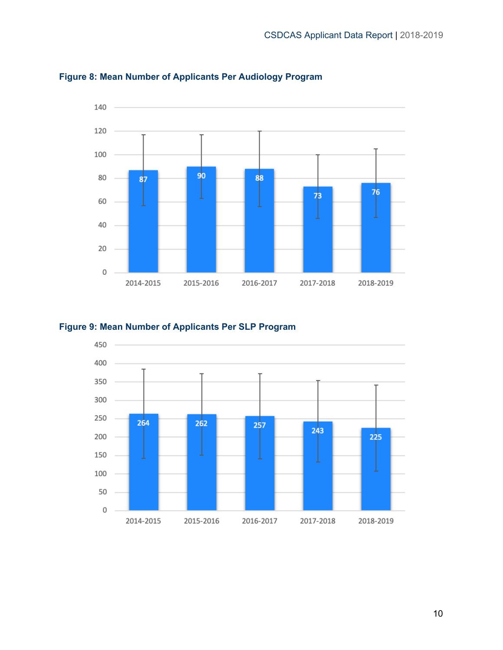

#### <span id="page-10-0"></span>**Figure 8: Mean Number of Applicants Per Audiology Program**

#### <span id="page-10-1"></span>**Figure 9: Mean Number of Applicants Per SLP Program**

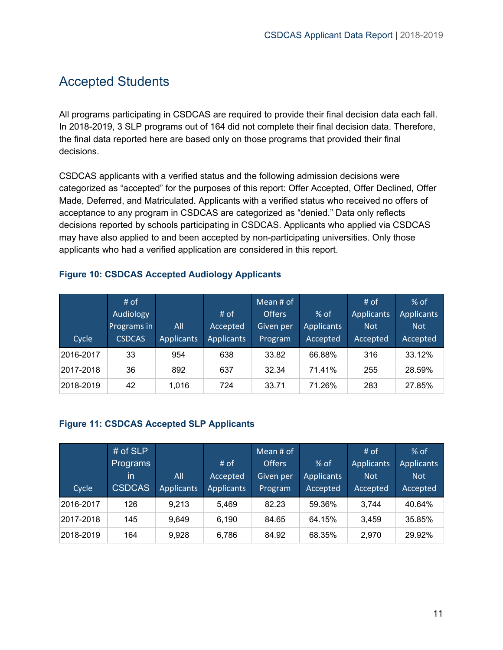### <span id="page-11-0"></span>Accepted Students

All programs participating in CSDCAS are required to provide their final decision data each fall. In 2018-2019, 3 SLP programs out of 164 did not complete their final decision data. Therefore, the final data reported here are based only on those programs that provided their final decisions.

CSDCAS applicants with a verified status and the following admission decisions were categorized as "accepted" for the purposes of this report: Offer Accepted, Offer Declined, Offer Made, Deferred, and Matriculated. Applicants with a verified status who received no offers of acceptance to any program in CSDCAS are categorized as "denied." Data only reflects decisions reported by schools participating in CSDCAS. Applicants who applied via CSDCAS may have also applied to and been accepted by non-participating universities. Only those applicants who had a verified application are considered in this report.

|           | # of             |                   |                   | Mean # of     |                   | $#$ of            | $%$ of            |
|-----------|------------------|-------------------|-------------------|---------------|-------------------|-------------------|-------------------|
|           | <b>Audiology</b> |                   | # of              | <b>Offers</b> | $%$ of            | <b>Applicants</b> | <b>Applicants</b> |
|           | Programs in      | All               | Accepted          | Given per     | <b>Applicants</b> | <b>Not</b>        | <b>Not</b>        |
| Cycle     | <b>CSDCAS</b>    | <b>Applicants</b> | <b>Applicants</b> | Program       | Accepted          | Accepted          | Accepted          |
| 2016-2017 | 33               | 954               | 638               | 33.82         | 66.88%            | 316               | 33.12%            |
| 2017-2018 | 36               | 892               | 637               | 32.34         | 71.41%            | 255               | 28.59%            |
| 2018-2019 | 42               | 1,016             | 724               | 33.71         | 71.26%            | 283               | 27.85%            |

#### <span id="page-11-1"></span>**Figure 10: CSDCAS Accepted Audiology Applicants**

#### <span id="page-11-2"></span>**Figure 11: CSDCAS Accepted SLP Applicants**

|           | # of $SLP$    |                   |                   | Mean # of     |                   | # of              | $%$ of            |
|-----------|---------------|-------------------|-------------------|---------------|-------------------|-------------------|-------------------|
|           | Programs      |                   | # of              | <b>Offers</b> | $%$ of            | <b>Applicants</b> | <b>Applicants</b> |
|           | in            | All               | Accepted          | Given per     | <b>Applicants</b> | <b>Not</b>        | <b>Not</b>        |
| Cycle     | <b>CSDCAS</b> | <b>Applicants</b> | <b>Applicants</b> | Program       | Accepted          | Accepted          | Accepted          |
| 2016-2017 | 126           | 9.213             | 5.469             | 82.23         | 59.36%            | 3,744             | 40.64%            |
| 2017-2018 | 145           | 9.649             | 6,190             | 84.65         | 64.15%            | 3,459             | 35.85%            |
| 2018-2019 | 164           | 9.928             | 6,786             | 84.92         | 68.35%            | 2,970             | 29.92%            |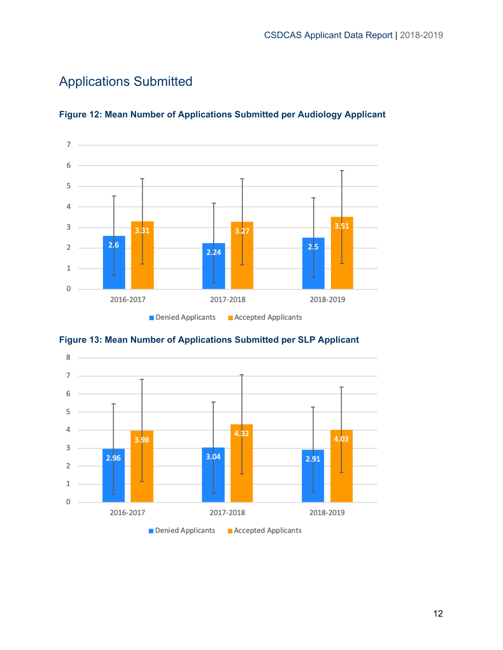# <span id="page-12-0"></span>Applications Submitted



#### <span id="page-12-1"></span>**Figure 12: Mean Number of Applications Submitted per Audiology Applicant**

<span id="page-12-2"></span>

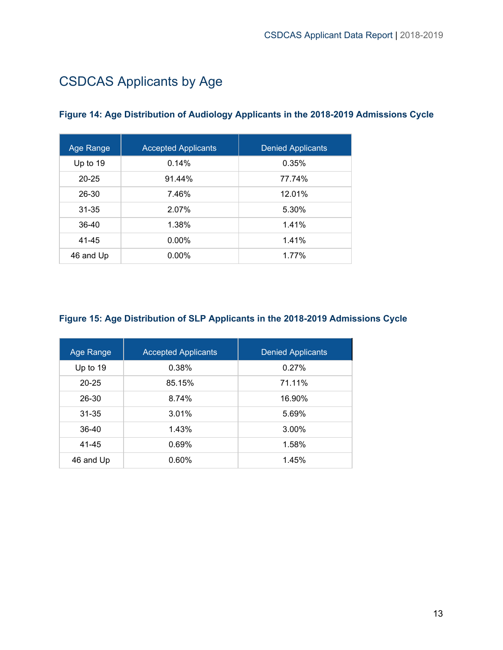# <span id="page-13-0"></span>CSDCAS Applicants by Age

| Age Range | <b>Accepted Applicants</b> | <b>Denied Applicants</b> |
|-----------|----------------------------|--------------------------|
| Up to 19  | 0.14%                      | 0.35%                    |
| $20 - 25$ | 91.44%                     | 77.74%                   |
| 26-30     | 7.46%                      | 12.01%                   |
| 31-35     | 2.07%                      | 5.30%                    |
| $36-40$   | 1.38%                      | 1.41%                    |
| 41-45     | $0.00\%$                   | 1.41%                    |
| 46 and Up | $0.00\%$                   | 1.77%                    |

#### <span id="page-13-1"></span>**Figure 14: Age Distribution of Audiology Applicants in the 2018-2019 Admissions Cycle**

#### <span id="page-13-2"></span>**Figure 15: Age Distribution of SLP Applicants in the 2018-2019 Admissions Cycle**

| Age Range  | <b>Accepted Applicants</b> | <b>Denied Applicants</b> |
|------------|----------------------------|--------------------------|
| Up to $19$ | 0.38%                      | 0.27%                    |
| $20 - 25$  | 85.15%                     | 71.11%                   |
| 26-30      | 8.74%                      | 16.90%                   |
| $31 - 35$  | 3.01%                      | 5.69%                    |
| 36-40      | 1.43%                      | 3.00%                    |
| 41-45      | 0.69%                      | 1.58%                    |
| 46 and Up  | 0.60%                      | 1.45%                    |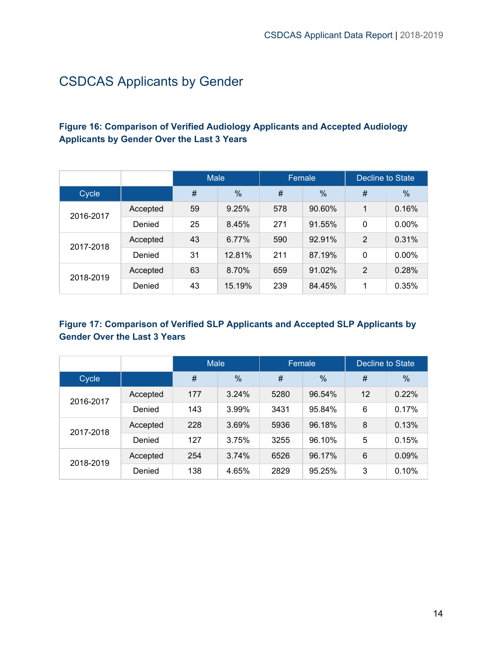# <span id="page-14-0"></span>CSDCAS Applicants by Gender

#### <span id="page-14-1"></span>**Figure 16: Comparison of Verified Audiology Applicants and Accepted Audiology Applicants by Gender Over the Last 3 Years**

|           |          | <b>Male</b> |               | Female |        | <b>Decline to State</b> |               |
|-----------|----------|-------------|---------------|--------|--------|-------------------------|---------------|
| Cycle     |          | #           | $\frac{0}{0}$ | #      | %      | #                       | $\frac{0}{0}$ |
| 2016-2017 | Accepted | 59          | 9.25%         | 578    | 90.60% | 1                       | 0.16%         |
|           | Denied   | 25          | 8.45%         | 271    | 91.55% | 0                       | 0.00%         |
| 2017-2018 | Accepted | 43          | 6.77%         | 590    | 92.91% | $\overline{2}$          | 0.31%         |
|           | Denied   | 31          | 12.81%        | 211    | 87.19% | 0                       | $0.00\%$      |
| 2018-2019 | Accepted | 63          | 8.70%         | 659    | 91.02% | $\overline{2}$          | 0.28%         |
|           | Denied   | 43          | 15.19%        | 239    | 84.45% | 1                       | 0.35%         |

#### <span id="page-14-2"></span>**Figure 17: Comparison of Verified SLP Applicants and Accepted SLP Applicants by Gender Over the Last 3 Years**

|           |          | <b>Male</b> |               | Female |        | <b>Decline to State</b> |               |
|-----------|----------|-------------|---------------|--------|--------|-------------------------|---------------|
| Cycle     |          | #           | $\frac{0}{0}$ | #      | %      | #                       | $\frac{0}{0}$ |
| 2016-2017 | Accepted | 177         | 3.24%         | 5280   | 96.54% | 12                      | 0.22%         |
|           | Denied   | 143         | 3.99%         | 3431   | 95.84% | 6                       | 0.17%         |
|           | Accepted | 228         | 3.69%         | 5936   | 96.18% | 8                       | 0.13%         |
| 2017-2018 | Denied   | 127         | 3.75%         | 3255   | 96.10% | 5                       | 0.15%         |
| 2018-2019 | Accepted | 254         | 3.74%         | 6526   | 96.17% | 6                       | 0.09%         |
|           | Denied   | 138         | 4.65%         | 2829   | 95.25% | 3                       | 0.10%         |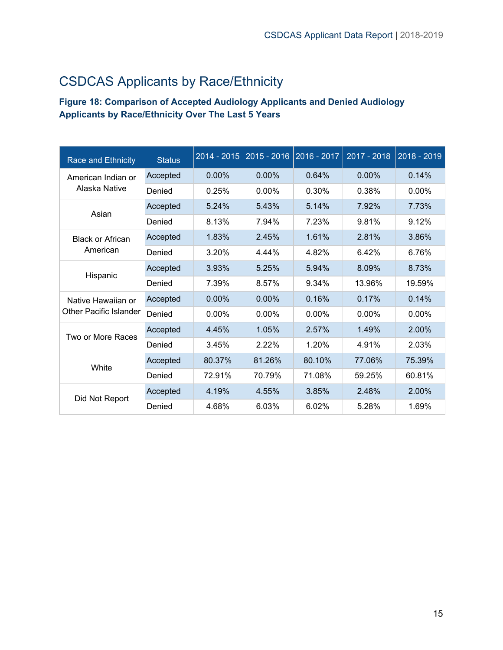# <span id="page-15-0"></span>CSDCAS Applicants by Race/Ethnicity

#### <span id="page-15-1"></span>**Figure 18: Comparison of Accepted Audiology Applicants and Denied Audiology Applicants by Race/Ethnicity Over The Last 5 Years**

| <b>Race and Ethnicity</b>     | <b>Status</b> | $2014 - 2015$ | $2015 - 2016$ | 2016 - 2017 | 2017 - 2018 | 2018 - 2019 |
|-------------------------------|---------------|---------------|---------------|-------------|-------------|-------------|
| American Indian or            | Accepted      | $0.00\%$      | $0.00\%$      | 0.64%       | 0.00%       | 0.14%       |
| Alaska Native                 | Denied        | 0.25%         | 0.00%         | 0.30%       | 0.38%       | $0.00\%$    |
| Asian                         | Accepted      | 5.24%         | 5.43%         | 5.14%       | 7.92%       | 7.73%       |
|                               | Denied        | 8.13%         | 7.94%         | 7.23%       | 9.81%       | 9.12%       |
| <b>Black or African</b>       | Accepted      | 1.83%         | 2.45%         | 1.61%       | 2.81%       | 3.86%       |
| American                      | Denied        | 3.20%         | 4.44%         | 4.82%       | 6.42%       | 6.76%       |
| Hispanic                      | Accepted      | 3.93%         | 5.25%         | 5.94%       | 8.09%       | 8.73%       |
|                               | Denied        | 7.39%         | 8.57%         | 9.34%       | 13.96%      | 19.59%      |
| Native Hawaiian or            | Accepted      | $0.00\%$      | $0.00\%$      | 0.16%       | 0.17%       | 0.14%       |
| <b>Other Pacific Islander</b> | Denied        | $0.00\%$      | 0.00%         | $0.00\%$    | $0.00\%$    | $0.00\%$    |
| Two or More Races             | Accepted      | 4.45%         | 1.05%         | 2.57%       | 1.49%       | 2.00%       |
|                               | Denied        | 3.45%         | 2.22%         | 1.20%       | 4.91%       | 2.03%       |
| White                         | Accepted      | 80.37%        | 81.26%        | 80.10%      | 77.06%      | 75.39%      |
|                               | Denied        | 72.91%        | 70.79%        | 71.08%      | 59.25%      | 60.81%      |
| Did Not Report                | Accepted      | 4.19%         | 4.55%         | 3.85%       | 2.48%       | 2.00%       |
|                               | Denied        | 4.68%         | 6.03%         | 6.02%       | 5.28%       | 1.69%       |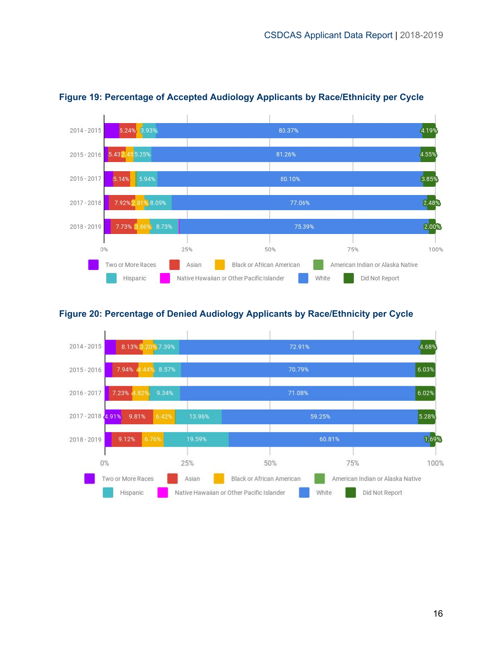

#### <span id="page-16-0"></span>**Figure 19: Percentage of Accepted Audiology Applicants by Race/Ethnicity per Cycle**

#### <span id="page-16-1"></span>**Figure 20: Percentage of Denied Audiology Applicants by Race/Ethnicity per Cycle**

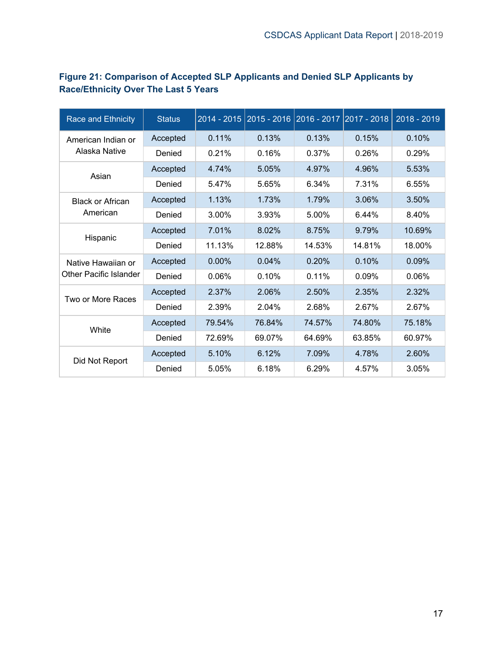| Race and Ethnicity                  | <b>Status</b> |        |        | 2014 - 2015   2015 - 2016   2016 - 2017   2017 - 2018 |        | 2018 - 2019 |
|-------------------------------------|---------------|--------|--------|-------------------------------------------------------|--------|-------------|
| American Indian or<br>Alaska Native | Accepted      | 0.11%  | 0.13%  | 0.13%                                                 | 0.15%  | 0.10%       |
|                                     | Denied        | 0.21%  | 0.16%  | 0.37%                                                 | 0.26%  | 0.29%       |
| Asian                               | Accepted      | 4.74%  | 5.05%  | 4.97%                                                 | 4.96%  | 5.53%       |
|                                     | Denied        | 5.47%  | 5.65%  | 6.34%                                                 | 7.31%  | 6.55%       |
| <b>Black or African</b>             | Accepted      | 1.13%  | 1.73%  | 1.79%                                                 | 3.06%  | 3.50%       |
| American                            | Denied        | 3.00%  | 3.93%  | 5.00%                                                 | 6.44%  | 8.40%       |
|                                     | Accepted      | 7.01%  | 8.02%  | 8.75%                                                 | 9.79%  | 10.69%      |
| Hispanic                            | Denied        | 11.13% | 12.88% | 14.53%                                                | 14.81% | 18.00%      |
| Native Hawaiian or                  | Accepted      | 0.00%  | 0.04%  | 0.20%                                                 | 0.10%  | 0.09%       |
| Other Pacific Islander              | Denied        | 0.06%  | 0.10%  | 0.11%                                                 | 0.09%  | 0.06%       |
| Two or More Races                   | Accepted      | 2.37%  | 2.06%  | 2.50%                                                 | 2.35%  | 2.32%       |
|                                     | Denied        | 2.39%  | 2.04%  | 2.68%                                                 | 2.67%  | 2.67%       |
| White                               | Accepted      | 79.54% | 76.84% | 74.57%                                                | 74.80% | 75.18%      |
|                                     | Denied        | 72.69% | 69.07% | 64.69%                                                | 63.85% | 60.97%      |
| Did Not Report                      | Accepted      | 5.10%  | 6.12%  | 7.09%                                                 | 4.78%  | 2.60%       |
|                                     | Denied        | 5.05%  | 6.18%  | 6.29%                                                 | 4.57%  | 3.05%       |

#### <span id="page-17-0"></span>**Figure 21: Comparison of Accepted SLP Applicants and Denied SLP Applicants by Race/Ethnicity Over The Last 5 Years**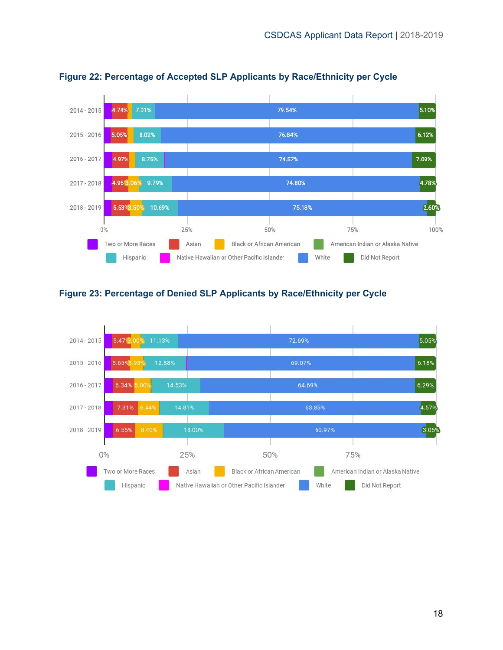

#### <span id="page-18-0"></span>**Figure 22: Percentage of Accepted SLP Applicants by Race/Ethnicity per Cycle**

#### <span id="page-18-1"></span>**Figure 23: Percentage of Denied SLP Applicants by Race/Ethnicity per Cycle**

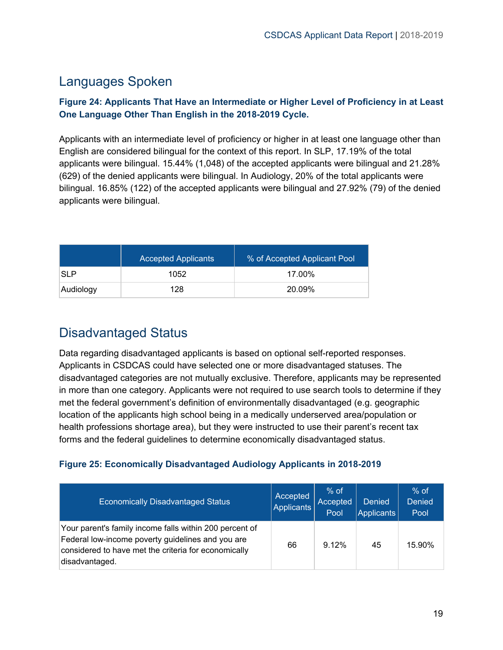# <span id="page-19-0"></span>Languages Spoken

#### <span id="page-19-1"></span>**Figure 24: Applicants That Have an Intermediate or Higher Level of Proficiency in at Least One Language Other Than English in the 2018-2019 Cycle.**

Applicants with an intermediate level of proficiency or higher in at least one language other than English are considered bilingual for the context of this report. In SLP, 17.19% of the total applicants were bilingual. 15.44% (1,048) of the accepted applicants were bilingual and 21.28% (629) of the denied applicants were bilingual. In Audiology, 20% of the total applicants were bilingual. 16.85% (122) of the accepted applicants were bilingual and 27.92% (79) of the denied applicants were bilingual.

|            | <b>Accepted Applicants</b> | % of Accepted Applicant Pool |
|------------|----------------------------|------------------------------|
| <b>SLP</b> | 1052                       | 17.00%                       |
| Audiology  | 128                        | 20.09%                       |

# <span id="page-19-2"></span>Disadvantaged Status

Data regarding disadvantaged applicants is based on optional self-reported responses. Applicants in CSDCAS could have selected one or more disadvantaged statuses. The disadvantaged categories are not mutually exclusive. Therefore, applicants may be represented in more than one category. Applicants were not required to use search tools to determine if they met the federal government's definition of environmentally disadvantaged (e.g. geographic location of the applicants high school being in a medically underserved area/population or health professions shortage area), but they were instructed to use their parent's recent tax forms and the federal guidelines to determine economically disadvantaged status.

#### <span id="page-19-3"></span>**Figure 25: Economically Disadvantaged Audiology Applicants in 2018-2019**

| <b>Economically Disadvantaged Status</b>                                                                                                                                               | Accepted<br>Applicants | $%$ of<br>Accepted<br>Pool | <b>Denied</b><br>Applicants | $%$ of<br><b>Denied</b><br>Pool |
|----------------------------------------------------------------------------------------------------------------------------------------------------------------------------------------|------------------------|----------------------------|-----------------------------|---------------------------------|
| Your parent's family income falls within 200 percent of<br>Federal low-income poverty guidelines and you are<br>considered to have met the criteria for economically<br>disadvantaged. | 66                     | 9.12%                      | 45                          | 15.90%                          |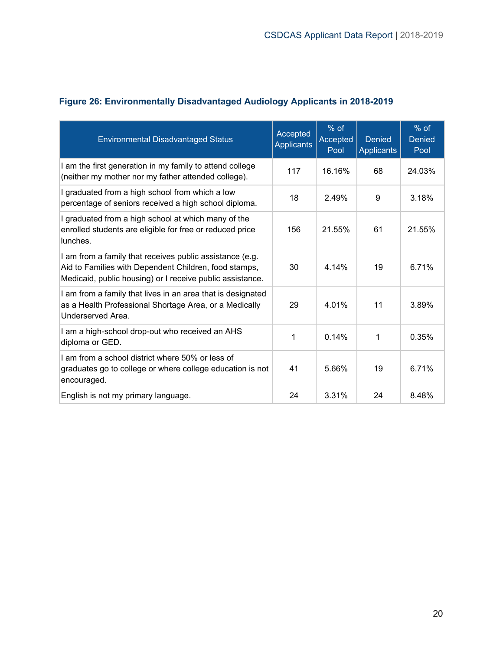| <b>Environmental Disadvantaged Status</b>                                                                                                                                      | Accepted<br>Applicants | $%$ of<br>Accepted<br>Pool | <b>Denied</b><br>Applicants | % of<br><b>Denied</b><br>Pool |
|--------------------------------------------------------------------------------------------------------------------------------------------------------------------------------|------------------------|----------------------------|-----------------------------|-------------------------------|
| I am the first generation in my family to attend college<br>(neither my mother nor my father attended college).                                                                | 117                    | 16.16%                     | 68                          | 24.03%                        |
| I graduated from a high school from which a low<br>percentage of seniors received a high school diploma.                                                                       | 18                     | 2.49%                      | 9                           | 3.18%                         |
| I graduated from a high school at which many of the<br>enrolled students are eligible for free or reduced price<br>lunches.                                                    | 156                    | 21.55%                     | 61                          | 21.55%                        |
| I am from a family that receives public assistance (e.g.<br>Aid to Families with Dependent Children, food stamps,<br>Medicaid, public housing) or I receive public assistance. | 30                     | 4.14%                      | 19                          | 6.71%                         |
| I am from a family that lives in an area that is designated<br>as a Health Professional Shortage Area, or a Medically<br>Underserved Area.                                     | 29                     | 4.01%                      | 11                          | 3.89%                         |
| I am a high-school drop-out who received an AHS<br>diploma or GED.                                                                                                             | 1                      | 0.14%                      | 1                           | 0.35%                         |
| I am from a school district where 50% or less of<br>graduates go to college or where college education is not<br>encouraged.                                                   | 41                     | 5.66%                      | 19                          | 6.71%                         |
| English is not my primary language.                                                                                                                                            | 24                     | 3.31%                      | 24                          | 8.48%                         |

#### <span id="page-20-0"></span>**Figure 26: Environmentally Disadvantaged Audiology Applicants in 2018-2019**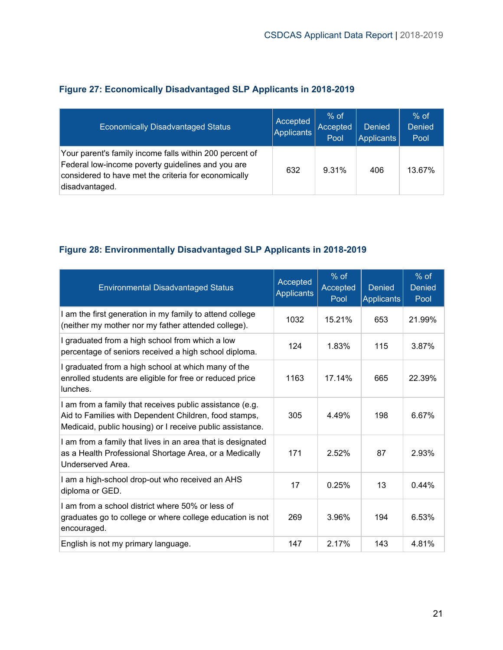| <b>Economically Disadvantaged Status</b>                                                                                                                                               | Accepted<br>Applicants | $%$ of<br>Accepted<br>Pool | <b>Denied</b><br>Applicants | $%$ of<br><b>Denied</b><br>Pool |
|----------------------------------------------------------------------------------------------------------------------------------------------------------------------------------------|------------------------|----------------------------|-----------------------------|---------------------------------|
| Your parent's family income falls within 200 percent of<br>Federal low-income poverty guidelines and you are<br>considered to have met the criteria for economically<br>disadvantaged. | 632                    | 9.31%                      | 406                         | 13.67%                          |

#### <span id="page-21-0"></span>**Figure 27: Economically Disadvantaged SLP Applicants in 2018-2019**

#### <span id="page-21-1"></span>**Figure 28: Environmentally Disadvantaged SLP Applicants in 2018-2019**

| <b>Environmental Disadvantaged Status</b>                                                                                                                                      | Accepted<br><b>Applicants</b> | $%$ of<br>Accepted<br>Pool | <b>Denied</b><br><b>Applicants</b> | $%$ of<br><b>Denied</b><br>Pool |
|--------------------------------------------------------------------------------------------------------------------------------------------------------------------------------|-------------------------------|----------------------------|------------------------------------|---------------------------------|
| I am the first generation in my family to attend college<br>(neither my mother nor my father attended college).                                                                | 1032                          | 15.21%                     | 653                                | 21.99%                          |
| I graduated from a high school from which a low<br>percentage of seniors received a high school diploma.                                                                       | 124                           | 1.83%                      | 115                                | 3.87%                           |
| I graduated from a high school at which many of the<br>enrolled students are eligible for free or reduced price<br>lunches.                                                    | 1163                          | 17.14%                     | 665                                | 22.39%                          |
| I am from a family that receives public assistance (e.g.<br>Aid to Families with Dependent Children, food stamps,<br>Medicaid, public housing) or I receive public assistance. | 305                           | 4.49%                      | 198                                | 6.67%                           |
| I am from a family that lives in an area that is designated<br>as a Health Professional Shortage Area, or a Medically<br>Underserved Area.                                     | 171                           | 2.52%                      | 87                                 | 2.93%                           |
| I am a high-school drop-out who received an AHS<br>diploma or GED.                                                                                                             | 17                            | 0.25%                      | 13                                 | 0.44%                           |
| I am from a school district where 50% or less of<br>graduates go to college or where college education is not<br>encouraged.                                                   | 269                           | 3.96%                      | 194                                | 6.53%                           |
| English is not my primary language.                                                                                                                                            | 147                           | 2.17%                      | 143                                | 4.81%                           |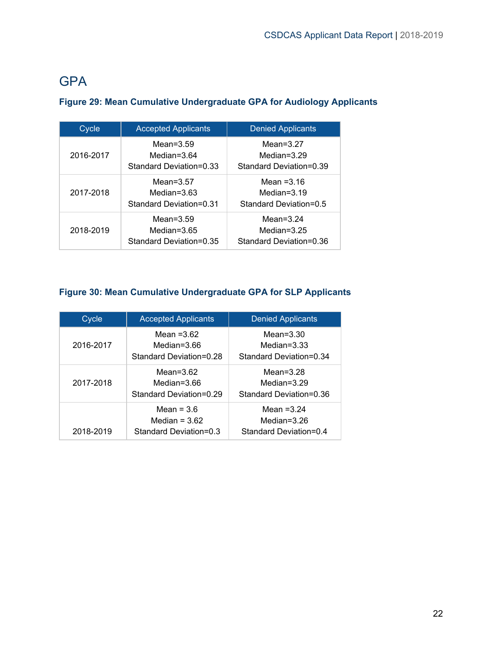# <span id="page-22-0"></span>**GPA**

| Cycle     | <b>Accepted Applicants</b>                                | <b>Denied Applicants</b>                                  |
|-----------|-----------------------------------------------------------|-----------------------------------------------------------|
| 2016-2017 | Mean= $3.59$<br>Median=3.64<br>Standard Deviation=0.33    | Mean= $3.27$<br>Median= $3.29$<br>Standard Deviation=0.39 |
| 2017-2018 | Mean= $3.57$<br>Median= $3.63$<br>Standard Deviation=0.31 | Mean $=3.16$<br>Median= $3.19$<br>Standard Deviation=0.5  |
| 2018-2019 | Mean= $3.59$<br>Median=3.65<br>Standard Deviation=0.35    | Mean= $3.24$<br>Median= $3.25$<br>Standard Deviation=0.36 |

#### <span id="page-22-1"></span>**Figure 29: Mean Cumulative Undergraduate GPA for Audiology Applicants**

#### <span id="page-22-2"></span>**Figure 30: Mean Cumulative Undergraduate GPA for SLP Applicants**

| Cycle     | <b>Accepted Applicants</b>                                | <b>Denied Applicants</b>                                  |
|-----------|-----------------------------------------------------------|-----------------------------------------------------------|
| 2016-2017 | Mean $=3.62$<br>Median=3.66<br>Standard Deviation=0.28    | Mean= $3.30$<br>Median= $3.33$<br>Standard Deviation=0.34 |
| 2017-2018 | Mean= $3.62$<br>Median=3.66<br>Standard Deviation=0.29    | Mean= $3.28$<br>Median=3.29<br>Standard Deviation=0.36    |
| 2018-2019 | Mean = $3.6$<br>Median = $3.62$<br>Standard Deviation=0.3 | Mean $=3.24$<br>Median=3.26<br>Standard Deviation=0.4     |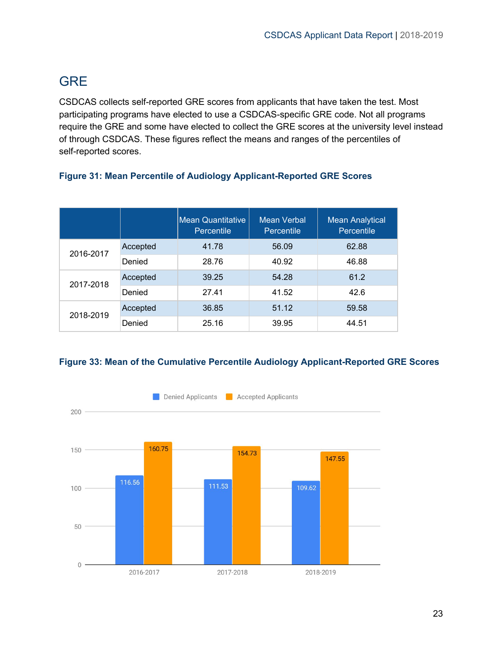# <span id="page-23-0"></span>**GRE**

CSDCAS collects self-reported GRE scores from applicants that have taken the test. Most participating programs have elected to use a CSDCAS-specific GRE code. Not all programs require the GRE and some have elected to collect the GRE scores at the university level instead of through CSDCAS. These figures reflect the means and ranges of the percentiles of self-reported scores.

|           |          | <b>Mean Quantitative</b><br>Percentile | Mean Verbal<br>Percentile | <b>Mean Analytical</b><br>Percentile |
|-----------|----------|----------------------------------------|---------------------------|--------------------------------------|
| 2016-2017 | Accepted | 41.78                                  | 56.09                     | 62.88                                |
|           | Denied   | 28.76                                  | 40.92                     | 46.88                                |
| 2017-2018 | Accepted | 39.25                                  | 54.28                     | 61.2                                 |
|           | Denied   | 27.41                                  | 41.52                     | 42.6                                 |
| 2018-2019 | Accepted | 36.85                                  | 51.12                     | 59.58                                |
|           | Denied   | 25.16                                  | 39.95                     | 44.51                                |

#### <span id="page-23-1"></span>**Figure 31: Mean Percentile of Audiology Applicant-Reported GRE Scores**

#### <span id="page-23-2"></span>**Figure 33: Mean of the Cumulative Percentile Audiology Applicant-Reported GRE Scores**

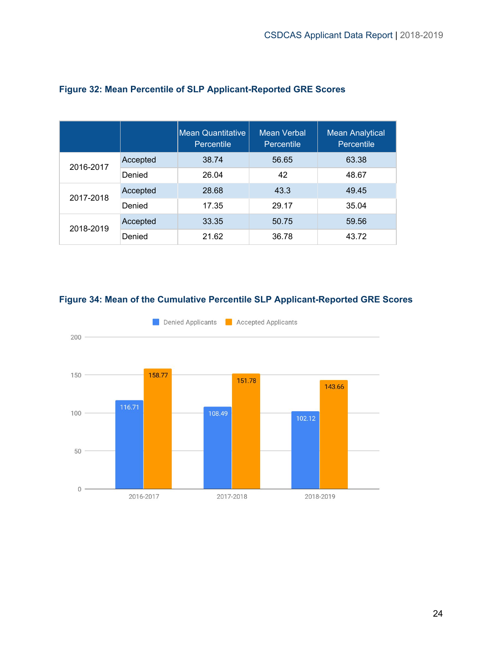|           |          | <b>Mean Quantitative</b><br>Percentile | Mean Verbal<br>Percentile | <b>Mean Analytical</b><br>Percentile |
|-----------|----------|----------------------------------------|---------------------------|--------------------------------------|
| 2016-2017 | Accepted | 38.74                                  | 56.65                     | 63.38                                |
|           | Denied   | 26.04                                  | 42                        | 48.67                                |
| 2017-2018 | Accepted | 28.68                                  | 43.3                      | 49.45                                |
|           | Denied   | 17.35                                  | 29.17                     | 35.04                                |
| 2018-2019 | Accepted | 33.35                                  | 50.75                     | 59.56                                |
|           | Denied   | 21.62                                  | 36.78                     | 43.72                                |

#### <span id="page-24-0"></span>**Figure 32: Mean Percentile of SLP Applicant-Reported GRE Scores**

<span id="page-24-1"></span>

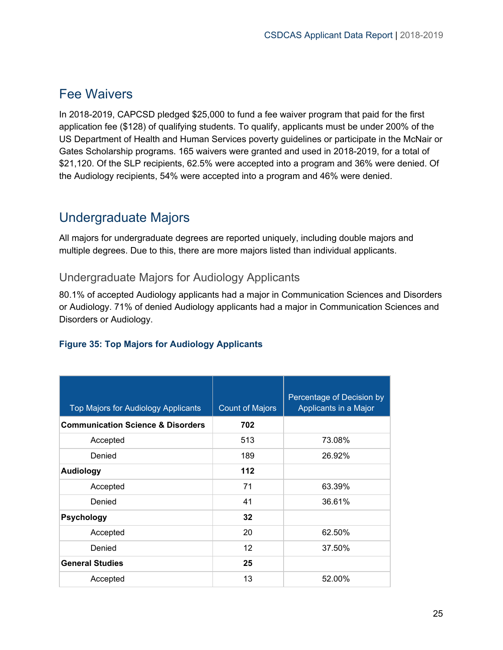### <span id="page-25-0"></span>Fee Waivers

In 2018-2019, CAPCSD pledged \$25,000 to fund a fee waiver program that paid for the first application fee (\$128) of qualifying students. To qualify, applicants must be under 200% of the US Department of Health and Human Services poverty guidelines or participate in the McNair or Gates Scholarship programs. 165 waivers were granted and used in 2018-2019, for a total of \$21,120. Of the SLP recipients, 62.5% were accepted into a program and 36% were denied. Of the Audiology recipients, 54% were accepted into a program and 46% were denied.

# <span id="page-25-1"></span>Undergraduate Majors

All majors for undergraduate degrees are reported uniquely, including double majors and multiple degrees. Due to this, there are more majors listed than individual applicants.

#### <span id="page-25-2"></span>Undergraduate Majors for Audiology Applicants

80.1% of accepted Audiology applicants had a major in Communication Sciences and Disorders or Audiology. 71% of denied Audiology applicants had a major in Communication Sciences and Disorders or Audiology.

<span id="page-25-3"></span>

|  |  |  | <b>Figure 35: Top Majors for Audiology Applicants</b> |  |
|--|--|--|-------------------------------------------------------|--|
|  |  |  |                                                       |  |

| Top Majors for Audiology Applicants          | <b>Count of Majors</b> | Percentage of Decision by<br>Applicants in a Major |
|----------------------------------------------|------------------------|----------------------------------------------------|
| <b>Communication Science &amp; Disorders</b> | 702                    |                                                    |
| Accepted                                     | 513                    | 73.08%                                             |
| Denied                                       | 189                    | 26.92%                                             |
| <b>Audiology</b>                             | 112                    |                                                    |
| Accepted                                     | 71                     | 63.39%                                             |
| Denied                                       | 41                     | 36.61%                                             |
| Psychology                                   | 32                     |                                                    |
| Accepted                                     | 20                     | 62.50%                                             |
| Denied                                       | 12                     | 37.50%                                             |
| <b>General Studies</b>                       | 25                     |                                                    |
| Accepted                                     | 13                     | 52.00%                                             |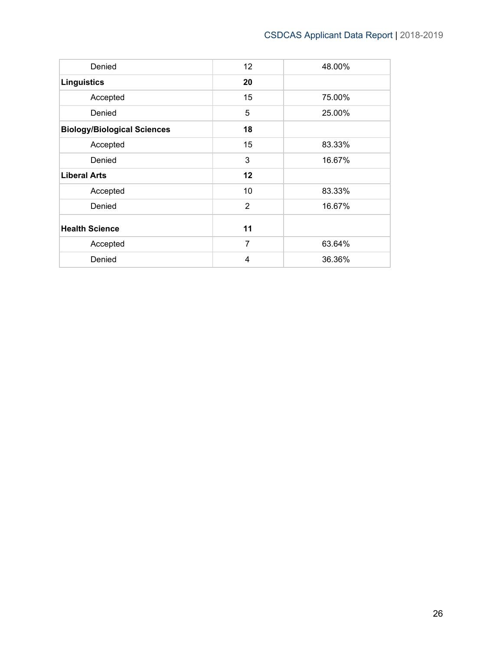| Denied                             | 12             | 48.00% |
|------------------------------------|----------------|--------|
| <b>Linguistics</b>                 | 20             |        |
| Accepted                           | 15             | 75.00% |
| Denied                             | 5              | 25.00% |
| <b>Biology/Biological Sciences</b> | 18             |        |
| Accepted                           | 15             | 83.33% |
| Denied                             | 3              | 16.67% |
| <b>Liberal Arts</b>                | 12             |        |
| Accepted                           | 10             | 83.33% |
| Denied                             | $\overline{2}$ | 16.67% |
| <b>Health Science</b>              | 11             |        |
| Accepted                           | $\overline{7}$ | 63.64% |
| Denied                             | $\overline{4}$ | 36.36% |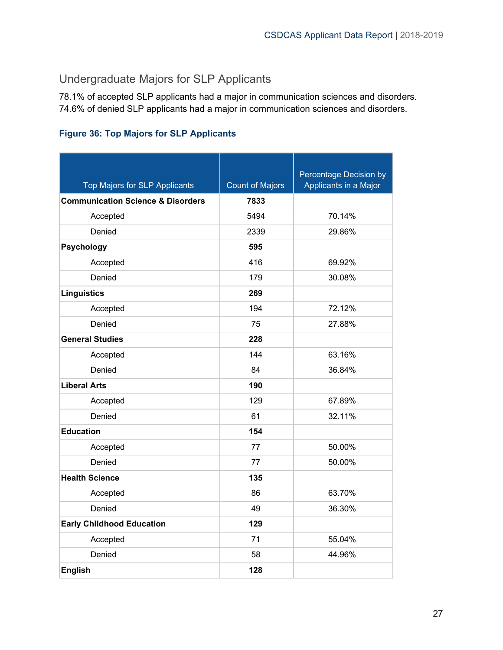### <span id="page-27-0"></span>Undergraduate Majors for SLP Applicants

78.1% of accepted SLP applicants had a major in communication sciences and disorders. 74.6% of denied SLP applicants had a major in communication sciences and disorders.

#### <span id="page-27-1"></span>**Figure 36: Top Majors for SLP Applicants**

| Top Majors for SLP Applicants                | <b>Count of Majors</b> | Percentage Decision by<br>Applicants in a Major |
|----------------------------------------------|------------------------|-------------------------------------------------|
| <b>Communication Science &amp; Disorders</b> | 7833                   |                                                 |
| Accepted                                     | 5494                   | 70.14%                                          |
| Denied                                       | 2339                   | 29.86%                                          |
| <b>Psychology</b>                            | 595                    |                                                 |
| Accepted                                     | 416                    | 69.92%                                          |
| Denied                                       | 179                    | 30.08%                                          |
| <b>Linguistics</b>                           | 269                    |                                                 |
| Accepted                                     | 194                    | 72.12%                                          |
| Denied                                       | 75                     | 27.88%                                          |
| <b>General Studies</b>                       | 228                    |                                                 |
| Accepted                                     | 144                    | 63.16%                                          |
| Denied                                       | 84                     | 36.84%                                          |
| <b>Liberal Arts</b>                          | 190                    |                                                 |
| Accepted                                     | 129                    | 67.89%                                          |
| Denied                                       | 61                     | 32.11%                                          |
| <b>Education</b>                             | 154                    |                                                 |
| Accepted                                     | 77                     | 50.00%                                          |
| Denied                                       | 77                     | 50.00%                                          |
| <b>Health Science</b>                        | 135                    |                                                 |
| Accepted                                     | 86                     | 63.70%                                          |
| Denied                                       | 49                     | 36.30%                                          |
| <b>Early Childhood Education</b>             | 129                    |                                                 |
| Accepted                                     | 71                     | 55.04%                                          |
| Denied                                       | 58                     | 44.96%                                          |
| <b>English</b>                               | 128                    |                                                 |